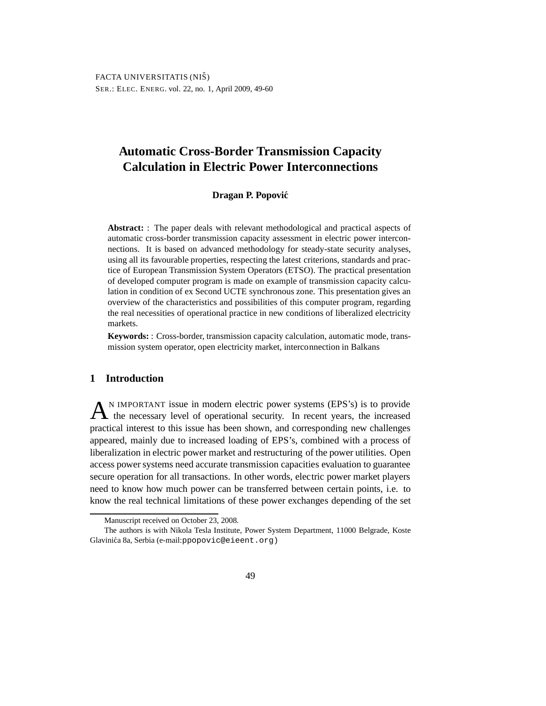# **Automatic Cross-Border Transmission Capacity Calculation in Electric Power Interconnections**

#### **Dragan P. Popovic´**

**Abstract:** : The paper deals with relevant methodological and practical aspects of automatic cross-border transmission capacity assessment in electric power interconnections. It is based on advanced methodology for steady-state security analyses, using all its favourable properties, respecting the latest criterions, standards and practice of European Transmission System Operators (ETSO). The practical presentation of developed computer program is made on example of transmission capacity calculation in condition of ex Second UCTE synchronous zone. This presentation gives an overview of the characteristics and possibilities of this computer program, regarding the real necessities of operational practice in new conditions of liberalized electricity markets.

**Keywords:** : Cross-border, transmission capacity calculation, automatic mode, transmission system operator, open electricity market, interconnection in Balkans

### **1 Introduction**

 $A<sup>N</sup>$  IMPORTANT issue in modern electric power systems (EPS's) is to provide the necessary level of operational security. In recent years, the increased N IMPORTANT issue in modern electric power systems (EPS's) is to provide practical interest to this issue has been shown, and corresponding new challenges appeared, mainly due to increased loading of EPS's, combined with a process of liberalization in electric power market and restructuring of the power utilities. Open access power systems need accurate transmission capacities evaluation to guarantee secure operation for all transactions. In other words, electric power market players need to know how much power can be transferred between certain points, i.e. to know the real technical limitations of these power exchanges depending of the set

Manuscript received on October 23, 2008.

The authors is with Nikola Tesla Institute, Power System Department, 11000 Belgrade, Koste Glavinića 8a, Serbia (e-mail:ppopovic@eieent.org)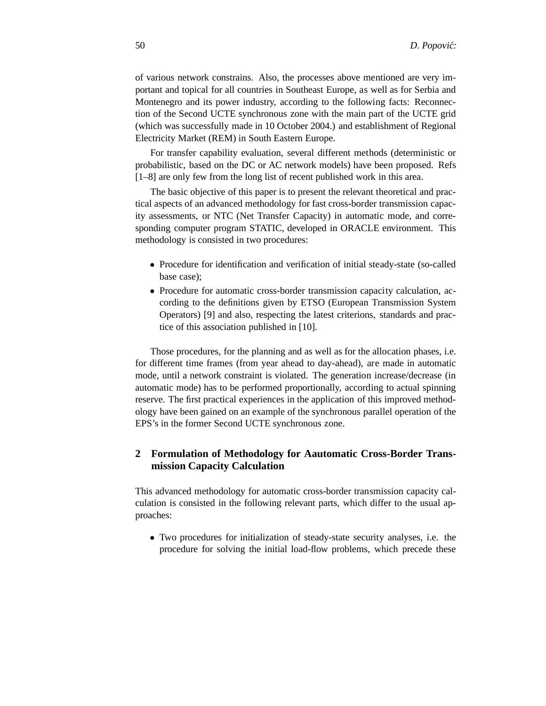of various network constrains. Also, the processes above mentioned are very important and topical for all countries in Southeast Europe, as well as for Serbia and Montenegro and its power industry, according to the following facts: Reconnection of the Second UCTE synchronous zone with the main part of the UCTE grid (which was successfully made in 10 October 2004.) and establishment of Regional Electricity Market (REM) in South Eastern Europe.

For transfer capability evaluation, several different methods (deterministic or probabilistic, based on the DC or AC network models) have been proposed. Refs [1–8] are only few from the long list of recent published work in this area.

The basic objective of this paper is to present the relevant theoretical and practical aspects of an advanced methodology for fast cross-border transmission capacity assessments, or NTC (Net Transfer Capacity) in automatic mode, and corresponding computer program STATIC, developed in ORACLE environment. This methodology is consisted in two procedures:

- Procedure for identification and verification of initial steady-state (so-called base case);
- Procedure for automatic cross-border transmission capacity calculation, according to the definitions given by ETSO (European Transmission System Operators) [9] and also, respecting the latest criterions, standards and practice of this association published in [10].

Those procedures, for the planning and as well as for the allocation phases, i.e. for different time frames (from year ahead to day-ahead), are made in automatic mode, until a network constraint is violated. The generation increase/decrease (in automatic mode) has to be performed proportionally, according to actual spinning reserve. The first practical experiences in the application of this improved methodology have been gained on an example of the synchronous parallel operation of the EPS's in the former Second UCTE synchronous zone.

## **2 Formulation of Methodology for Aautomatic Cross-Border Transmission Capacity Calculation**

This advanced methodology for automatic cross-border transmission capacity calculation is consisted in the following relevant parts, which differ to the usual approaches:

• Two procedures for initialization of steady-state security analyses, i.e. the procedure for solving the initial load-flow problems, which precede these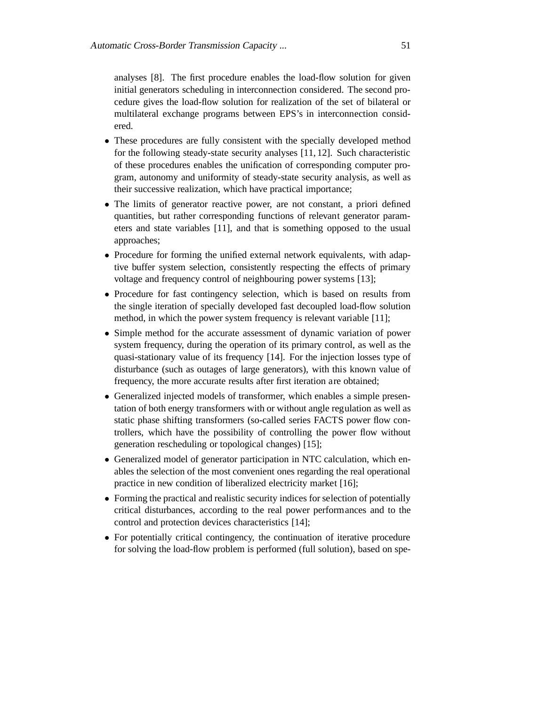analyses [8]. The first procedure enables the load-flow solution for given initial generators scheduling in interconnection considered. The second procedure gives the load-flow solution for realization of the set of bilateral or multilateral exchange programs between EPS's in interconnection considered.

- These procedures are fully consistent with the specially developed method for the following steady-state security analyses [11, 12]. Such characteristic of these procedures enables the unification of corresponding computer program, autonomy and uniformity of steady-state security analysis, as well as their successive realization, which have practical importance;
- The limits of generator reactive power, are not constant, a priori defined quantities, but rather corresponding functions of relevant generator parameters and state variables [11], and that is something opposed to the usual approaches;
- Procedure for forming the unified external network equivalents, with adaptive buffer system selection, consistently respecting the effects of primary voltage and frequency control of neighbouring power systems [13];
- Procedure for fast contingency selection, which is based on results from the single iteration of specially developed fast decoupled load-flow solution method, in which the power system frequency is relevant variable [11];
- Simple method for the accurate assessment of dynamic variation of power system frequency, during the operation of its primary control, as well as the quasi-stationary value of its frequency [14]. For the injection losses type of disturbance (such as outages of large generators), with this known value of frequency, the more accurate results after first iteration are obtained;
- Generalized injected models of transformer, which enables a simple presentation of both energy transformers with or without angle regulation as well as static phase shifting transformers (so-called series FACTS power flow controllers, which have the possibility of controlling the power flow without generation rescheduling or topological changes) [15];
- Generalized model of generator participation in NTC calculation, which enables the selection of the most convenient ones regarding the real operational practice in new condition of liberalized electricity market [16];
- Forming the practical and realistic security indices for selection of potentially critical disturbances, according to the real power performances and to the control and protection devices characteristics [14];
- For potentially critical contingency, the continuation of iterative procedure for solving the load-flow problem is performed (full solution), based on spe-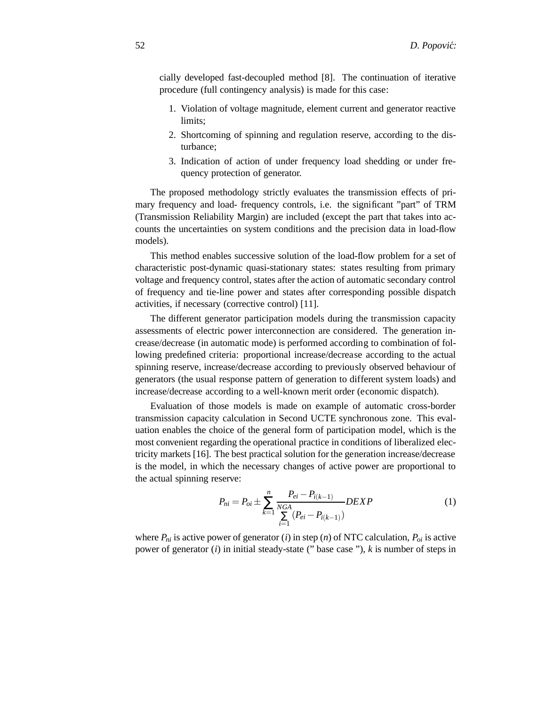cially developed fast-decoupled method [8]. The continuation of iterative procedure (full contingency analysis) is made for this case:

- 1. Violation of voltage magnitude, element current and generator reactive limits;
- 2. Shortcoming of spinning and regulation reserve, according to the disturbance;
- 3. Indication of action of under frequency load shedding or under frequency protection of generator.

The proposed methodology strictly evaluates the transmission effects of primary frequency and load- frequency controls, i.e. the significant "part" of TRM (Transmission Reliability Margin) are included (except the part that takes into accounts the uncertainties on system conditions and the precision data in load-flow models).

This method enables successive solution of the load-flow problem for a set of characteristic post-dynamic quasi-stationary states: states resulting from primary voltage and frequency control, states after the action of automatic secondary control of frequency and tie-line power and states after corresponding possible dispatch activities, if necessary (corrective control) [11].

The different generator participation models during the transmission capacity assessments of electric power interconnection are considered. The generation increase/decrease (in automatic mode) is performed according to combination of following predefined criteria: proportional increase/decrease according to the actual spinning reserve, increase/decrease according to previously observed behaviour of generators (the usual response pattern of generation to different system loads) and increase/decrease according to a well-known merit order (economic dispatch).

Evaluation of those models is made on example of automatic cross-border transmission capacity calculation in Second UCTE synchronous zone. This evaluation enables the choice of the general form of participation model, which is the most convenient regarding the operational practice in conditions of liberalized electricity markets [16]. The best practical solution for the generation increase/decrease is the model, in which the necessary changes of active power are proportional to the actual spinning reserve:

$$
P_{ni} = P_{oi} \pm \sum_{k=1}^{n} \frac{P_{ei} - P_{i(k-1)}}{\sum_{i=1}^{NGA} (P_{ei} - P_{i(k-1)})} DEXP
$$
 (1)

where  $P_{ni}$  is active power of generator (*i*) in step (*n*) of NTC calculation,  $P_{oi}$  is active power of generator (*i*) in initial steady-state (" base case "), *k* is number of steps in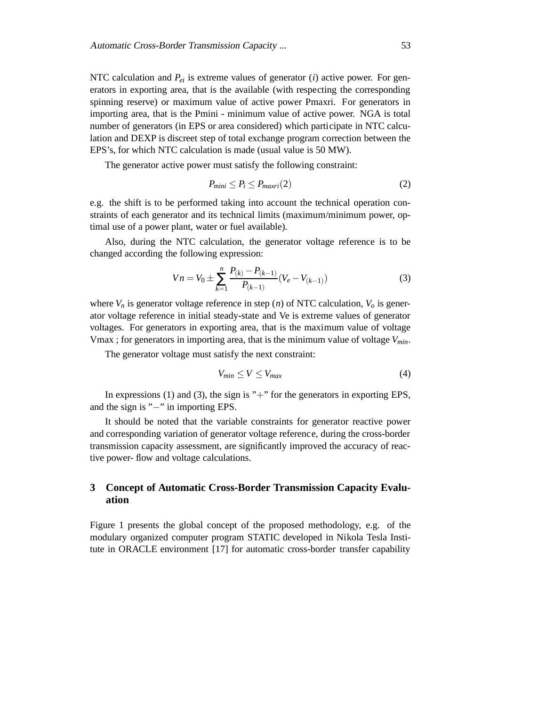NTC calculation and  $P_{ei}$  is extreme values of generator (*i*) active power. For generators in exporting area, that is the available (with respecting the corresponding spinning reserve) or maximum value of active power Pmaxri. For generators in importing area, that is the Pmini - minimum value of active power. NGA is total number of generators (in EPS or area considered) which participate in NTC calculation and DEXP is discreet step of total exchange program correction between the EPS's, for which NTC calculation is made (usual value is 50 MW).

The generator active power must satisfy the following constraint:

$$
P_{mini} \le P_i \le P_{maxri}(2) \tag{2}
$$

e.g. the shift is to be performed taking into account the technical operation constraints of each generator and its technical limits (maximum/minimum power, optimal use of a power plant, water or fuel available).

Also, during the NTC calculation, the generator voltage reference is to be changed according the following expression:

$$
Vn = V_0 \pm \sum_{k=1}^{n} \frac{P_{(k)} - P_{(k-1)}}{P_{(k-1)}} (V_e - V_{(k-1)})
$$
(3)

where  $V_n$  is generator voltage reference in step (*n*) of NTC calculation,  $V_o$  is generator voltage reference in initial steady-state and Ve is extreme values of generator voltages. For generators in exporting area, that is the maximum value of voltage Vmax ; for generators in importing area, that is the minimum value of voltage *Vmin*.

The generator voltage must satisfy the next constraint:

$$
V_{min} \le V \le V_{max} \tag{4}
$$

In expressions (1) and (3), the sign is "+" for the generators in exporting EPS, and the sign is "−" in importing EPS.

It should be noted that the variable constraints for generator reactive power and corresponding variation of generator voltage reference, during the cross-border transmission capacity assessment, are significantly improved the accuracy of reactive power- flow and voltage calculations.

# **3 Concept of Automatic Cross-Border Transmission Capacity Evaluation**

Figure 1 presents the global concept of the proposed methodology, e.g. of the modulary organized computer program STATIC developed in Nikola Tesla Institute in ORACLE environment [17] for automatic cross-border transfer capability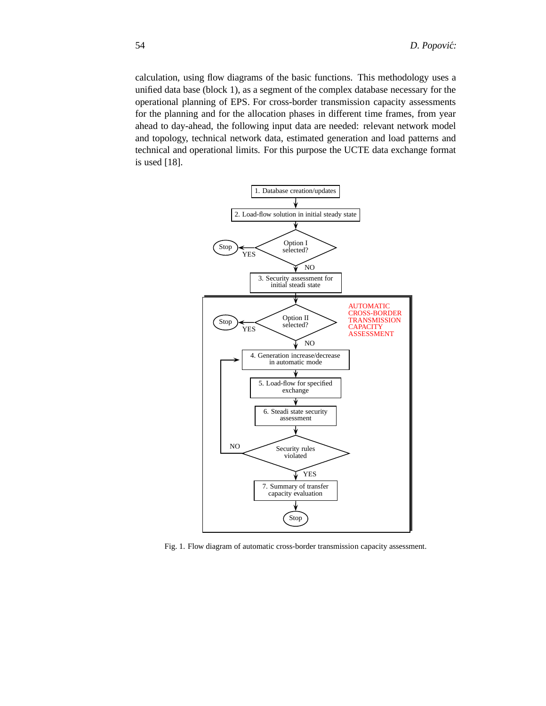calculation, using flow diagrams of the basic functions. This methodology uses a unified data base (block 1), as a segment of the complex database necessary for the operational planning of EPS. For cross-border transmission capacity assessments for the planning and for the allocation phases in different time frames, from year ahead to day-ahead, the following input data are needed: relevant network model and topology, technical network data, estimated generation and load patterns and technical and operational limits. For this purpose the UCTE data exchange format is used [18].



Fig. 1. Flow diagram of automatic cross-border transmission capacity assessment.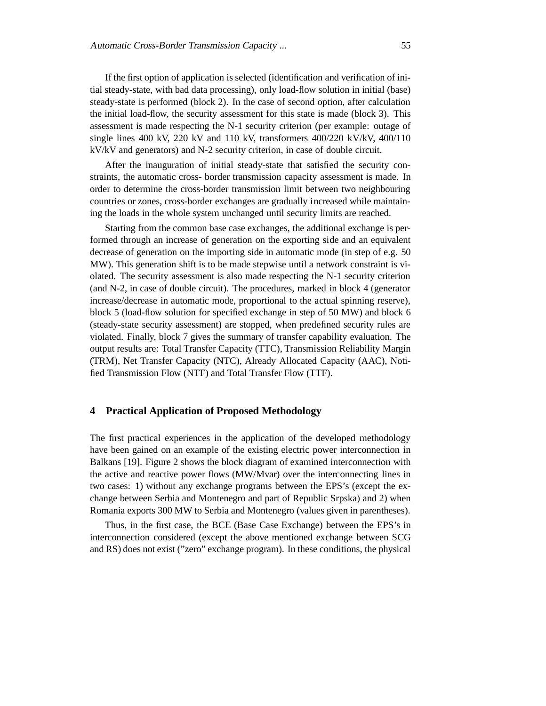If the first option of application is selected (identification and verification of initial steady-state, with bad data processing), only load-flow solution in initial (base) steady-state is performed (block 2). In the case of second option, after calculation the initial load-flow, the security assessment for this state is made (block 3). This assessment is made respecting the N-1 security criterion (per example: outage of single lines 400 kV, 220 kV and 110 kV, transformers  $400/220$  kV/kV,  $400/110$ kV/kV and generators) and N-2 security criterion, in case of double circuit.

After the inauguration of initial steady-state that satisfied the security constraints, the automatic cross- border transmission capacity assessment is made. In order to determine the cross-border transmission limit between two neighbouring countries or zones, cross-border exchanges are gradually increased while maintaining the loads in the whole system unchanged until security limits are reached.

Starting from the common base case exchanges, the additional exchange is performed through an increase of generation on the exporting side and an equivalent decrease of generation on the importing side in automatic mode (in step of e.g. 50 MW). This generation shift is to be made stepwise until a network constraint is violated. The security assessment is also made respecting the N-1 security criterion (and N-2, in case of double circuit). The procedures, marked in block 4 (generator increase/decrease in automatic mode, proportional to the actual spinning reserve), block 5 (load-flow solution for specified exchange in step of 50 MW) and block 6 (steady-state security assessment) are stopped, when predefined security rules are violated. Finally, block 7 gives the summary of transfer capability evaluation. The output results are: Total Transfer Capacity (TTC), Transmission Reliability Margin (TRM), Net Transfer Capacity (NTC), Already Allocated Capacity (AAC), Notified Transmission Flow (NTF) and Total Transfer Flow (TTF).

### **4 Practical Application of Proposed Methodology**

The first practical experiences in the application of the developed methodology have been gained on an example of the existing electric power interconnection in Balkans [19]. Figure 2 shows the block diagram of examined interconnection with the active and reactive power flows (MW/Mvar) over the interconnecting lines in two cases: 1) without any exchange programs between the EPS's (except the exchange between Serbia and Montenegro and part of Republic Srpska) and 2) when Romania exports 300 MW to Serbia and Montenegro (values given in parentheses).

Thus, in the first case, the BCE (Base Case Exchange) between the EPS's in interconnection considered (except the above mentioned exchange between SCG and RS) does not exist ("zero" exchange program). In these conditions, the physical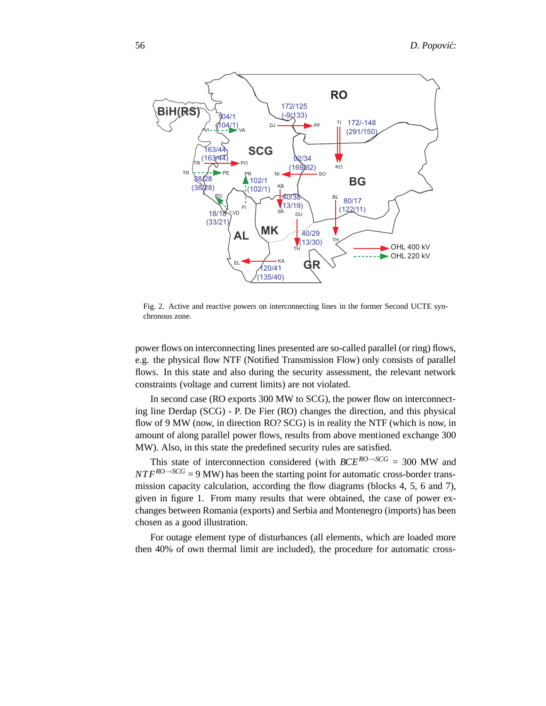

Fig. 2. Active and reactive powers on interconnecting lines in the former Second UCTE synchronous zone.

power flows on interconnecting lines presented are so-called parallel (or ring) flows, e.g. the physical flow NTF (Notified Transmission Flow) only consists of parallel flows. In this state and also during the security assessment, the relevant network constraints (voltage and current limits) are not violated.

In second case (RO exports 300 MW to SCG), the power flow on interconnecting line Derdap (SCG) - P. De Fier (RO) changes the direction, and this physical flow of 9 MW (now, in direction RO? SCG) is in reality the NTF (which is now, in amount of along parallel power flows, results from above mentioned exchange 300 MW). Also, in this state the predefined security rules are satisfied.

This state of interconnection considered (with  $BCE^{RO \rightarrow SCG} = 300$  MW and  $NTF^{RO \rightarrow SCG} = 9$  MW) has been the starting point for automatic cross-border transmission capacity calculation, according the flow diagrams (blocks 4, 5, 6 and 7), given in figure 1. From many results that were obtained, the case of power exchanges between Romania (exports) and Serbia and Montenegro (imports) has been chosen as a good illustration.

For outage element type of disturbances (all elements, which are loaded more then 40% of own thermal limit are included), the procedure for automatic cross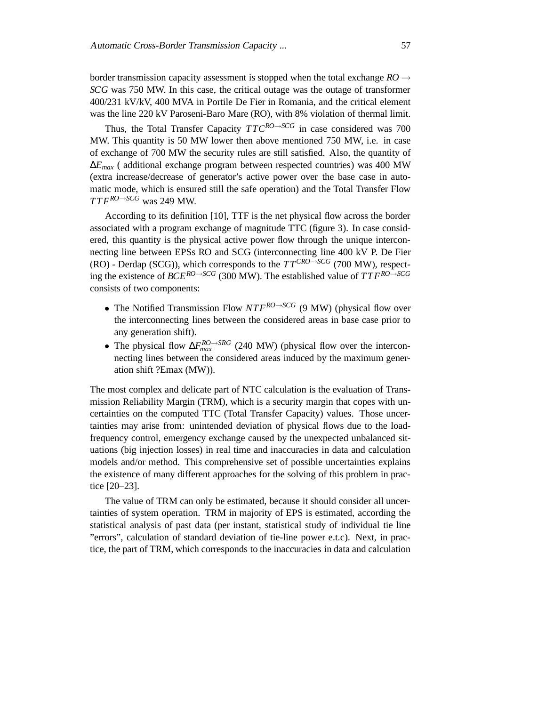border transmission capacity assessment is stopped when the total exchange  $RO \rightarrow$ *SCG* was 750 MW. In this case, the critical outage was the outage of transformer 400/231 kV/kV, 400 MVA in Portile De Fier in Romania, and the critical element was the line 220 kV Paroseni-Baro Mare (RO), with 8% violation of thermal limit.

Thus, the Total Transfer Capacity  $TTC^{RO\rightarrow SCG}$  in case considered was 700 MW. This quantity is 50 MW lower then above mentioned 750 MW, i.e. in case of exchange of 700 MW the security rules are still satisfied. Also, the quantity of ∆*Emax* ( additional exchange program between respected countries) was 400 MW (extra increase/decrease of generator's active power over the base case in automatic mode, which is ensured still the safe operation) and the Total Transfer Flow *T T FRO*→*SCG* was 249 MW.

According to its definition [10], TTF is the net physical flow across the border associated with a program exchange of magnitude TTC (figure 3). In case considered, this quantity is the physical active power flow through the unique interconnecting line between EPSs RO and SCG (interconnecting line 400 kV P. De Fier (RO) - Derdap (SCG)), which corresponds to the  $TT^{CRO \rightarrow SCG}$  (700 MW), respecting the existence of *BCE<sup>RO→SCG</sup>* (300 MW). The established value of  $T T F^{RO\rightarrow SCG}$ consists of two components:

- The Notified Transmission Flow *NTFRO*→*SCG* (9 MW) (physical flow over the interconnecting lines between the considered areas in base case prior to any generation shift).
- The physical flow  $\Delta F_{max}^{RO \rightarrow SRG}$  (240 MW) (physical flow over the interconnecting lines between the considered areas induced by the maximum generation shift ?Emax (MW)).

The most complex and delicate part of NTC calculation is the evaluation of Transmission Reliability Margin (TRM), which is a security margin that copes with uncertainties on the computed TTC (Total Transfer Capacity) values. Those uncertainties may arise from: unintended deviation of physical flows due to the loadfrequency control, emergency exchange caused by the unexpected unbalanced situations (big injection losses) in real time and inaccuracies in data and calculation models and/or method. This comprehensive set of possible uncertainties explains the existence of many different approaches for the solving of this problem in practice [20–23].

The value of TRM can only be estimated, because it should consider all uncertainties of system operation. TRM in majority of EPS is estimated, according the statistical analysis of past data (per instant, statistical study of individual tie line "errors", calculation of standard deviation of tie-line power e.t.c). Next, in practice, the part of TRM, which corresponds to the inaccuracies in data and calculation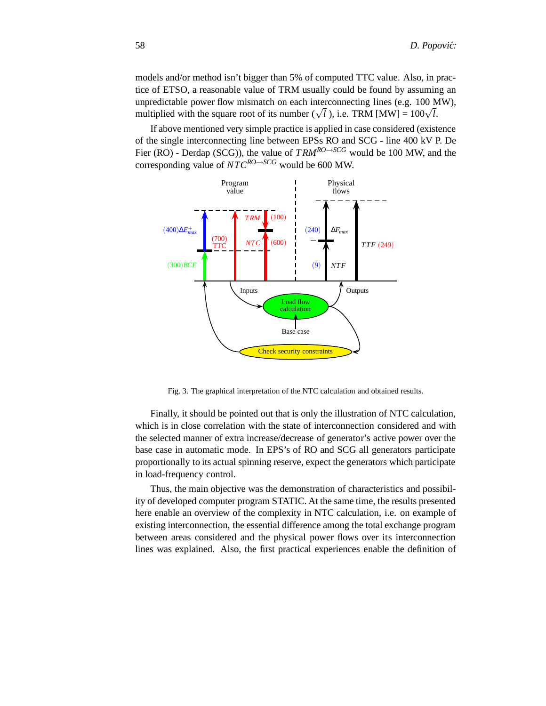models and/or method isn't bigger than 5% of computed TTC value. Also, in practice of ETSO, a reasonable value of TRM usually could be found by assuming an unpredictable power flow mismatch on each interconnecting lines (e.g. 100 MW), multiplied with the square root of its number  $(\sqrt{l})$ , i.e. TRM [MW] =  $100\sqrt{l}$ .

If above mentioned very simple practice is applied in case considered (existence of the single interconnecting line between EPSs RO and SCG - line 400 kV P. De Fier (RO) - Derdap (SCG)), the value of *T RMRO*→*SCG* would be 100 MW, and the corresponding value of  $NTC^{RO \rightarrow SCG}$  would be 600 MW.



Fig. 3. The graphical interpretation of the NTC calculation and obtained results.

Finally, it should be pointed out that is only the illustration of NTC calculation, which is in close correlation with the state of interconnection considered and with the selected manner of extra increase/decrease of generator's active power over the base case in automatic mode. In EPS's of RO and SCG all generators participate proportionally to its actual spinning reserve, expect the generators which participate in load-frequency control.

Thus, the main objective was the demonstration of characteristics and possibility of developed computer program STATIC. At the same time, the results presented here enable an overview of the complexity in NTC calculation, i.e. on example of existing interconnection, the essential difference among the total exchange program between areas considered and the physical power flows over its interconnection lines was explained. Also, the first practical experiences enable the definition of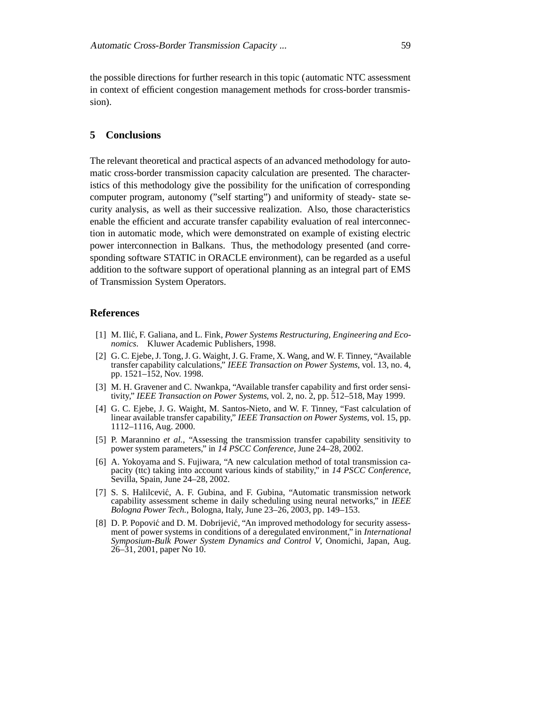the possible directions for further research in this topic (automatic NTC assessment in context of efficient congestion management methods for cross-border transmission).

### **5 Conclusions**

The relevant theoretical and practical aspects of an advanced methodology for automatic cross-border transmission capacity calculation are presented. The characteristics of this methodology give the possibility for the unification of corresponding computer program, autonomy ("self starting") and uniformity of steady- state security analysis, as well as their successive realization. Also, those characteristics enable the efficient and accurate transfer capability evaluation of real interconnection in automatic mode, which were demonstrated on example of existing electric power interconnection in Balkans. Thus, the methodology presented (and corresponding software STATIC in ORACLE environment), can be regarded as a useful addition to the software support of operational planning as an integral part of EMS of Transmission System Operators.

#### **References**

- [1] M. Ilić, F. Galiana, and L. Fink, *Power Systems Restructuring, Engineering and Economics*. Kluwer Academic Publishers, 1998.
- [2] G. C. Ejebe, J. Tong, J. G. Waight, J. G. Frame, X. Wang, and W. F. Tinney, "Available transfer capability calculations," *IEEE Transaction on Power Systems*, vol. 13, no. 4, pp. 1521–152, Nov. 1998.
- [3] M. H. Gravener and C. Nwankpa, "Available transfer capability and first order sensitivity," *IEEE Transaction on Power Systems*, vol. 2, no. 2, pp. 512–518, May 1999.
- [4] G. C. Ejebe, J. G. Waight, M. Santos-Nieto, and W. F. Tinney, "Fast calculation of linear available transfer capability," *IEEE Transaction on Power Systems*, vol. 15, pp. 1112–1116, Aug. 2000.
- [5] P. Marannino *et al.*, "Assessing the transmission transfer capability sensitivity to power system parameters," in *14 PSCC Conference*, June 24–28, 2002.
- [6] A. Yokoyama and S. Fujiwara, "A new calculation method of total transmission capacity (ttc) taking into account various kinds of stability," in *14 PSCC Conference*, Sevilla, Spain, June 24–28, 2002.
- [7] S. S. Halilcević, A. F. Gubina, and F. Gubina, "Automatic transmission network capability assessment scheme in daily scheduling using neural networks," in *IEEE Bologna Power Tech.*, Bologna, Italy, June 23–26, 2003, pp. 149–153.
- [8] D. P. Popović and D. M. Dobrijević, "An improved methodology for security assessment of power systems in conditions of a deregulated environment," in *International Symposium-Bulk Power System Dynamics and Control V*, Onomichi, Japan, Aug. 26–31, 2001, paper No 10.